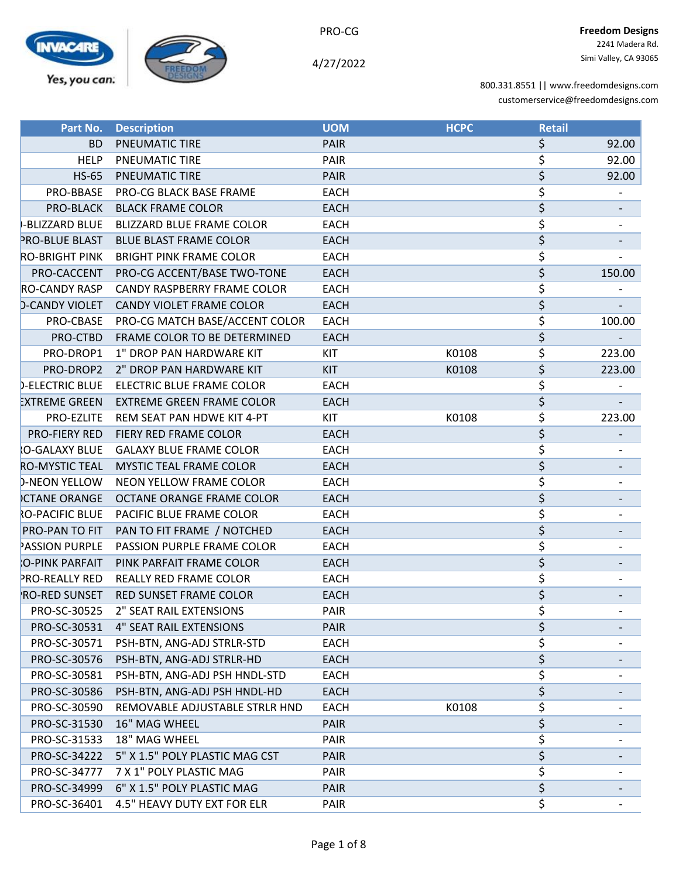



4/27/2022

| Part No.               | <b>Description</b>               | <b>UOM</b>  | <b>HCPC</b> | <b>Retail</b>                   |                          |
|------------------------|----------------------------------|-------------|-------------|---------------------------------|--------------------------|
| <b>BD</b>              | PNEUMATIC TIRE                   | <b>PAIR</b> |             | \$                              | 92.00                    |
| <b>HELP</b>            | PNEUMATIC TIRE                   | PAIR        |             | \$                              | 92.00                    |
| <b>HS-65</b>           | PNEUMATIC TIRE                   | <b>PAIR</b> |             | $\overline{\boldsymbol{\zeta}}$ | 92.00                    |
| PRO-BBASE              | PRO-CG BLACK BASE FRAME          | <b>EACH</b> |             | \$                              |                          |
| PRO-BLACK              | <b>BLACK FRAME COLOR</b>         | <b>EACH</b> |             | \$                              |                          |
| -BLIZZARD BLUE         | <b>BLIZZARD BLUE FRAME COLOR</b> | <b>EACH</b> |             | \$                              |                          |
| PRO-BLUE BLAST         | <b>BLUE BLAST FRAME COLOR</b>    | <b>EACH</b> |             | \$                              |                          |
| <b>RO-BRIGHT PINK</b>  | <b>BRIGHT PINK FRAME COLOR</b>   | <b>EACH</b> |             | \$                              | $\overline{\phantom{a}}$ |
| PRO-CACCENT            | PRO-CG ACCENT/BASE TWO-TONE      | <b>EACH</b> |             | \$                              | 150.00                   |
| <b>RO-CANDY RASP</b>   | CANDY RASPBERRY FRAME COLOR      | <b>EACH</b> |             | \$                              |                          |
| <b>D-CANDY VIOLET</b>  | CANDY VIOLET FRAME COLOR         | <b>EACH</b> |             | \$                              |                          |
| PRO-CBASE              | PRO-CG MATCH BASE/ACCENT COLOR   | <b>EACH</b> |             | \$                              | 100.00                   |
| PRO-CTBD               | FRAME COLOR TO BE DETERMINED     | <b>EACH</b> |             | \$                              |                          |
| PRO-DROP1              | 1" DROP PAN HARDWARE KIT         | KIT         | K0108       | \$                              | 223.00                   |
| PRO-DROP2              | 2" DROP PAN HARDWARE KIT         | <b>KIT</b>  | K0108       | $\overline{\varsigma}$          | 223.00                   |
| <b>D-ELECTRIC BLUE</b> | ELECTRIC BLUE FRAME COLOR        | <b>EACH</b> |             | \$                              |                          |
| <b>EXTREME GREEN</b>   | <b>EXTREME GREEN FRAME COLOR</b> | <b>EACH</b> |             | \$                              |                          |
| PRO-EZLITE             | REM SEAT PAN HDWE KIT 4-PT       | <b>KIT</b>  | K0108       | \$                              | 223.00                   |
| PRO-FIERY RED          | FIERY RED FRAME COLOR            | <b>EACH</b> |             | $\overline{\varsigma}$          |                          |
| O-GALAXY BLUE          | <b>GALAXY BLUE FRAME COLOR</b>   | <b>EACH</b> |             | \$                              |                          |
| <b>RO-MYSTIC TEAL</b>  | <b>MYSTIC TEAL FRAME COLOR</b>   | <b>EACH</b> |             | $\overline{\boldsymbol{\zeta}}$ |                          |
| <b>D-NEON YELLOW</b>   | NEON YELLOW FRAME COLOR          | <b>EACH</b> |             | \$                              |                          |
| <b>CTANE ORANGE</b>    | OCTANE ORANGE FRAME COLOR        | <b>EACH</b> |             | \$                              |                          |
| <b>O-PACIFIC BLUE</b>  | PACIFIC BLUE FRAME COLOR         | <b>EACH</b> |             | \$                              |                          |
| PRO-PAN TO FIT         | PAN TO FIT FRAME / NOTCHED       | <b>EACH</b> |             | \$                              |                          |
| <b>ASSION PURPLE</b>   | PASSION PURPLE FRAME COLOR       | <b>EACH</b> |             | \$                              |                          |
| O-PINK PARFAIT         | PINK PARFAIT FRAME COLOR         | <b>EACH</b> |             | $\overline{\boldsymbol{\zeta}}$ |                          |
| <b>PRO-REALLY RED</b>  | REALLY RED FRAME COLOR           | <b>EACH</b> |             | \$                              |                          |
| RO-RED SUNSET          | <b>RED SUNSET FRAME COLOR</b>    | <b>EACH</b> |             | \$                              |                          |
| PRO-SC-30525           | 2" SEAT RAIL EXTENSIONS          | <b>PAIR</b> |             | \$                              |                          |
| PRO-SC-30531           | <b>4" SEAT RAIL EXTENSIONS</b>   | <b>PAIR</b> |             | \$                              |                          |
| PRO-SC-30571           | PSH-BTN, ANG-ADJ STRLR-STD       | <b>EACH</b> |             | \$                              |                          |
| PRO-SC-30576           | PSH-BTN, ANG-ADJ STRLR-HD        | <b>EACH</b> |             | \$                              |                          |
| PRO-SC-30581           | PSH-BTN, ANG-ADJ PSH HNDL-STD    | <b>EACH</b> |             | \$                              |                          |
| PRO-SC-30586           | PSH-BTN, ANG-ADJ PSH HNDL-HD     | <b>EACH</b> |             | \$                              |                          |
| PRO-SC-30590           | REMOVABLE ADJUSTABLE STRLR HND   | <b>EACH</b> | K0108       | \$                              |                          |
| PRO-SC-31530           | 16" MAG WHEEL                    | <b>PAIR</b> |             | \$                              |                          |
| PRO-SC-31533           | 18" MAG WHEEL                    | <b>PAIR</b> |             | \$                              |                          |
| PRO-SC-34222           | 5" X 1.5" POLY PLASTIC MAG CST   | PAIR        |             | \$                              |                          |
| PRO-SC-34777           | 7 X 1" POLY PLASTIC MAG          | PAIR        |             | \$                              |                          |
| PRO-SC-34999           | 6" X 1.5" POLY PLASTIC MAG       | <b>PAIR</b> |             | \$                              |                          |
| PRO-SC-36401           | 4.5" HEAVY DUTY EXT FOR ELR      | <b>PAIR</b> |             | \$                              |                          |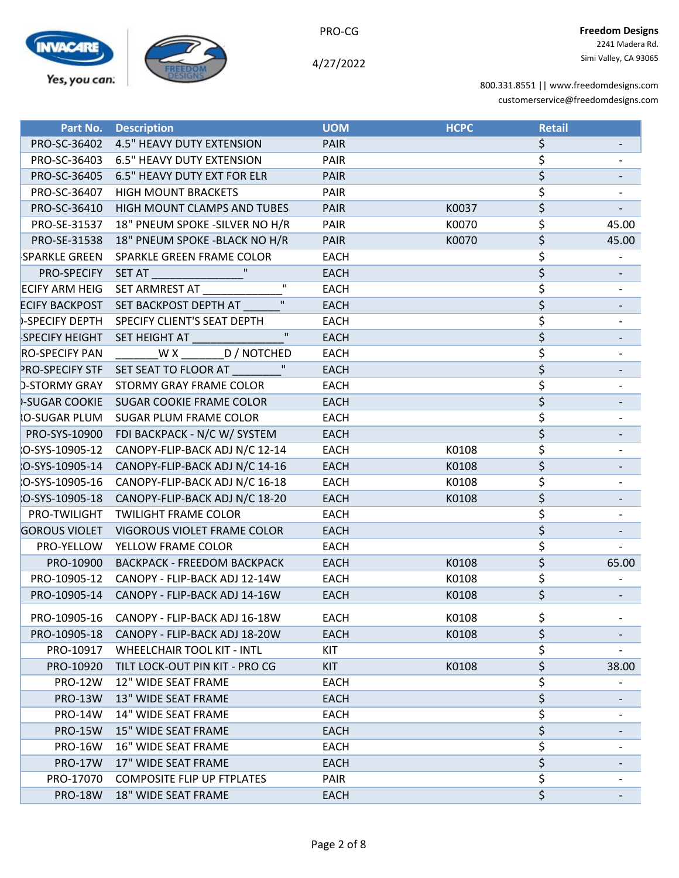

4/27/2022

| Part No.               | <b>Description</b>                              | <b>UOM</b>  | <b>HCPC</b> | <b>Retail</b>                   |                          |
|------------------------|-------------------------------------------------|-------------|-------------|---------------------------------|--------------------------|
| PRO-SC-36402           | <b>4.5" HEAVY DUTY EXTENSION</b>                | <b>PAIR</b> |             | \$                              |                          |
| PRO-SC-36403           | <b>6.5" HEAVY DUTY EXTENSION</b>                | PAIR        |             | \$                              |                          |
| PRO-SC-36405           | 6.5" HEAVY DUTY EXT FOR ELR                     | <b>PAIR</b> |             | $\overline{\boldsymbol{\zeta}}$ |                          |
| PRO-SC-36407           | <b>HIGH MOUNT BRACKETS</b>                      | <b>PAIR</b> |             | \$                              |                          |
|                        | PRO-SC-36410 HIGH MOUNT CLAMPS AND TUBES        | <b>PAIR</b> | K0037       | \$                              |                          |
| PRO-SE-31537           | 18" PNEUM SPOKE - SILVER NO H/R                 | <b>PAIR</b> | K0070       | \$                              | 45.00                    |
| PRO-SE-31538           | 18" PNEUM SPOKE - BLACK NO H/R                  | <b>PAIR</b> | K0070       | \$                              | 45.00                    |
| SPARKLE GREEN          | SPARKLE GREEN FRAME COLOR                       | <b>EACH</b> |             | \$                              |                          |
|                        | PRO-SPECIFY SET AT THE RESERVE THE RESERVE THAT | <b>EACH</b> |             | $\overline{\xi}$                |                          |
|                        | $\mathbf H$<br>ECIFY ARM HEIG SET ARMREST AT    | <b>EACH</b> |             | \$                              |                          |
| <b>ECIFY BACKPOST</b>  | SET BACKPOST DEPTH AT                           | <b>EACH</b> |             | $\overline{\boldsymbol{\zeta}}$ |                          |
| <b>D-SPECIFY DEPTH</b> | SPECIFY CLIENT'S SEAT DEPTH                     | <b>EACH</b> |             | \$                              |                          |
| <b>SPECIFY HEIGHT</b>  | SET HEIGHT AT <b>ALL AND THE SET HEIGHT</b>     | <b>EACH</b> |             | \$                              |                          |
| <b>RO-SPECIFY PAN</b>  | WX D/NOTCHED                                    | <b>EACH</b> |             | \$                              |                          |
|                        | PRO-SPECIFY STF SET SEAT TO FLOOR AT            | <b>EACH</b> |             | $\overline{\varsigma}$          |                          |
| <b>D-STORMY GRAY</b>   | <b>STORMY GRAY FRAME COLOR</b>                  | <b>EACH</b> |             | $\overline{\xi}$                | $\overline{\phantom{a}}$ |
|                        | -SUGAR COOKIE SUGAR COOKIE FRAME COLOR          | <b>EACH</b> |             | $\overline{\xi}$                |                          |
| O-SUGAR PLUM           | SUGAR PLUM FRAME COLOR                          | <b>EACH</b> |             | \$                              |                          |
|                        | PRO-SYS-10900 FDI BACKPACK - N/C W/ SYSTEM      | <b>EACH</b> |             | $\overline{\boldsymbol{\zeta}}$ |                          |
| O-SYS-10905-12         | CANOPY-FLIP-BACK ADJ N/C 12-14                  | <b>EACH</b> | K0108       | \$                              |                          |
| O-SYS-10905-14         | CANOPY-FLIP-BACK ADJ N/C 14-16                  | <b>EACH</b> | K0108       | $\overline{\boldsymbol{\zeta}}$ |                          |
| :O-SYS-10905-16        | CANOPY-FLIP-BACK ADJ N/C 16-18                  | <b>EACH</b> | K0108       | \$                              |                          |
| O-SYS-10905-18         | CANOPY-FLIP-BACK ADJ N/C 18-20                  | <b>EACH</b> | K0108       | $\overline{\boldsymbol{\zeta}}$ |                          |
| PRO-TWILIGHT           | <b>TWILIGHT FRAME COLOR</b>                     | <b>EACH</b> |             | \$                              |                          |
| <b>GOROUS VIOLET</b>   | VIGOROUS VIOLET FRAME COLOR                     | <b>EACH</b> |             | \$                              |                          |
| PRO-YELLOW             | YELLOW FRAME COLOR                              | <b>EACH</b> |             | \$                              |                          |
| PRO-10900              | <b>BACKPACK - FREEDOM BACKPACK</b>              | <b>EACH</b> | K0108       | $\overline{\boldsymbol{\zeta}}$ | 65.00                    |
|                        | PRO-10905-12 CANOPY - FLIP-BACK ADJ 12-14W      | <b>EACH</b> | K0108       | \$                              |                          |
| PRO-10905-14           | CANOPY - FLIP-BACK ADJ 14-16W                   | <b>EACH</b> | K0108       | $\overline{\varsigma}$          |                          |
| PRO-10905-16           | CANOPY - FLIP-BACK ADJ 16-18W                   | <b>EACH</b> | K0108       | \$                              | $\overline{\phantom{a}}$ |
| PRO-10905-18           | CANOPY - FLIP-BACK ADJ 18-20W                   | <b>EACH</b> | K0108       | \$                              |                          |
| PRO-10917              | WHEELCHAIR TOOL KIT - INTL                      | KIT         |             | \$                              |                          |
| PRO-10920              | TILT LOCK-OUT PIN KIT - PRO CG                  | <b>KIT</b>  | K0108       | \$                              | 38.00                    |
| <b>PRO-12W</b>         | 12" WIDE SEAT FRAME                             | <b>EACH</b> |             | \$                              |                          |
| <b>PRO-13W</b>         | 13" WIDE SEAT FRAME                             | <b>EACH</b> |             | $\overline{\boldsymbol{\zeta}}$ |                          |
| <b>PRO-14W</b>         | 14" WIDE SEAT FRAME                             | EACH        |             | \$                              |                          |
| <b>PRO-15W</b>         | <b>15" WIDE SEAT FRAME</b>                      | <b>EACH</b> |             | \$                              |                          |
| <b>PRO-16W</b>         | 16" WIDE SEAT FRAME                             | <b>EACH</b> |             | \$                              |                          |
| <b>PRO-17W</b>         | 17" WIDE SEAT FRAME                             | EACH        |             | \$                              |                          |
| PRO-17070              | <b>COMPOSITE FLIP UP FTPLATES</b>               | PAIR        |             | \$                              |                          |
| <b>PRO-18W</b>         | 18" WIDE SEAT FRAME                             | <b>EACH</b> |             | $\overline{\varsigma}$          |                          |
|                        |                                                 |             |             |                                 |                          |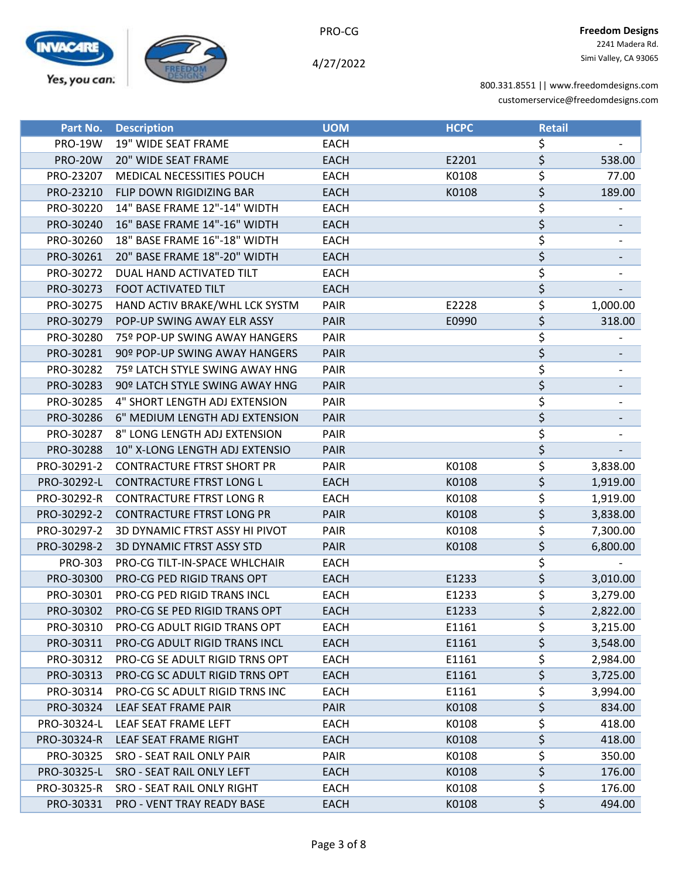

4/27/2022

| Part No.       | <b>Description</b>                   | <b>UOM</b>  | <b>HCPC</b> | <b>Retail</b> |          |
|----------------|--------------------------------------|-------------|-------------|---------------|----------|
| <b>PRO-19W</b> | 19" WIDE SEAT FRAME                  | <b>EACH</b> |             | \$            |          |
| <b>PRO-20W</b> | 20" WIDE SEAT FRAME                  | <b>EACH</b> | E2201       | \$            | 538.00   |
| PRO-23207      | <b>MEDICAL NECESSITIES POUCH</b>     | <b>EACH</b> | K0108       | \$            | 77.00    |
| PRO-23210      | FLIP DOWN RIGIDIZING BAR             | <b>EACH</b> | K0108       | \$            | 189.00   |
| PRO-30220      | 14" BASE FRAME 12"-14" WIDTH         | <b>EACH</b> |             | \$            |          |
| PRO-30240      | 16" BASE FRAME 14"-16" WIDTH         | <b>EACH</b> |             | \$            |          |
| PRO-30260      | 18" BASE FRAME 16"-18" WIDTH         | <b>EACH</b> |             | \$            |          |
| PRO-30261      | 20" BASE FRAME 18"-20" WIDTH         | <b>EACH</b> |             | \$            |          |
| PRO-30272      | DUAL HAND ACTIVATED TILT             | <b>EACH</b> |             | \$            |          |
| PRO-30273      | FOOT ACTIVATED TILT                  | <b>EACH</b> |             | \$            |          |
| PRO-30275      | HAND ACTIV BRAKE/WHL LCK SYSTM       | <b>PAIR</b> | E2228       | \$            | 1,000.00 |
| PRO-30279      | POP-UP SWING AWAY ELR ASSY           | <b>PAIR</b> | E0990       | \$            | 318.00   |
| PRO-30280      | 75º POP-UP SWING AWAY HANGERS        | <b>PAIR</b> |             | \$            |          |
| PRO-30281      | 90º POP-UP SWING AWAY HANGERS        | <b>PAIR</b> |             | \$            |          |
| PRO-30282      | 75º LATCH STYLE SWING AWAY HNG       | <b>PAIR</b> |             | \$            |          |
| PRO-30283      | 90º LATCH STYLE SWING AWAY HNG       | <b>PAIR</b> |             | \$            |          |
| PRO-30285      | 4" SHORT LENGTH ADJ EXTENSION        | <b>PAIR</b> |             | \$            |          |
| PRO-30286      | 6" MEDIUM LENGTH ADJ EXTENSION       | <b>PAIR</b> |             | \$            |          |
| PRO-30287      | 8" LONG LENGTH ADJ EXTENSION         | PAIR        |             | \$            |          |
| PRO-30288      | 10" X-LONG LENGTH ADJ EXTENSIO       | <b>PAIR</b> |             | \$            |          |
| PRO-30291-2    | <b>CONTRACTURE FTRST SHORT PR</b>    | PAIR        | K0108       | \$            | 3,838.00 |
| PRO-30292-L    | <b>CONTRACTURE FTRST LONG L</b>      | <b>EACH</b> | K0108       | \$            | 1,919.00 |
| PRO-30292-R    | <b>CONTRACTURE FTRST LONG R</b>      | <b>EACH</b> | K0108       | \$            | 1,919.00 |
| PRO-30292-2    | <b>CONTRACTURE FTRST LONG PR</b>     | <b>PAIR</b> | K0108       | \$            | 3,838.00 |
| PRO-30297-2    | 3D DYNAMIC FTRST ASSY HI PIVOT       | <b>PAIR</b> | K0108       | \$            | 7,300.00 |
| PRO-30298-2    | <b>3D DYNAMIC FTRST ASSY STD</b>     | <b>PAIR</b> | K0108       | \$            | 6,800.00 |
| PRO-303        | PRO-CG TILT-IN-SPACE WHLCHAIR        | <b>EACH</b> |             | \$            |          |
| PRO-30300      | PRO-CG PED RIGID TRANS OPT           | <b>EACH</b> | E1233       | \$            | 3,010.00 |
| PRO-30301      | PRO-CG PED RIGID TRANS INCL          | <b>EACH</b> | E1233       | \$            | 3,279.00 |
| PRO-30302      | <b>PRO-CG SE PED RIGID TRANS OPT</b> | <b>EACH</b> | E1233       | \$            | 2,822.00 |
| PRO-30310      | PRO-CG ADULT RIGID TRANS OPT         | EACH        | E1161       | \$            | 3,215.00 |
| PRO-30311      | PRO-CG ADULT RIGID TRANS INCL        | <b>EACH</b> | E1161       | \$            | 3,548.00 |
| PRO-30312      | PRO-CG SE ADULT RIGID TRNS OPT       | <b>EACH</b> | E1161       | \$            | 2,984.00 |
| PRO-30313      | PRO-CG SC ADULT RIGID TRNS OPT       | <b>EACH</b> | E1161       | \$            | 3,725.00 |
| PRO-30314      | PRO-CG SC ADULT RIGID TRNS INC       | <b>EACH</b> | E1161       | \$            | 3,994.00 |
| PRO-30324      | LEAF SEAT FRAME PAIR                 | <b>PAIR</b> | K0108       | \$            | 834.00   |
| PRO-30324-L    | LEAF SEAT FRAME LEFT                 | EACH        | K0108       | \$            | 418.00   |
| PRO-30324-R    | LEAF SEAT FRAME RIGHT                | <b>EACH</b> | K0108       | \$            | 418.00   |
| PRO-30325      | SRO - SEAT RAIL ONLY PAIR            | <b>PAIR</b> | K0108       | \$            | 350.00   |
| PRO-30325-L    | SRO - SEAT RAIL ONLY LEFT            | <b>EACH</b> | K0108       | \$            | 176.00   |
| PRO-30325-R    | SRO - SEAT RAIL ONLY RIGHT           | <b>EACH</b> | K0108       | \$            | 176.00   |
| PRO-30331      | PRO - VENT TRAY READY BASE           | <b>EACH</b> | K0108       | \$            | 494.00   |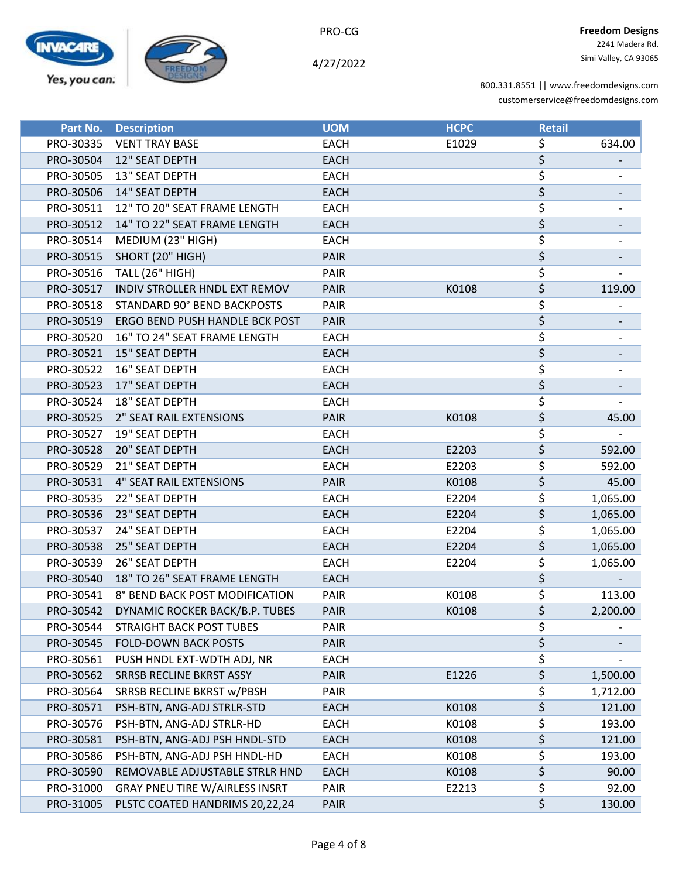

PRO-CG

| Part No.  | <b>Description</b>                    | <b>UOM</b>  | <b>HCPC</b> | <b>Retail</b> |          |
|-----------|---------------------------------------|-------------|-------------|---------------|----------|
| PRO-30335 | <b>VENT TRAY BASE</b>                 | <b>EACH</b> | E1029       | \$            | 634.00   |
| PRO-30504 | 12" SEAT DEPTH                        | <b>EACH</b> |             | \$            |          |
| PRO-30505 | 13" SEAT DEPTH                        | <b>EACH</b> |             | \$            |          |
| PRO-30506 | 14" SEAT DEPTH                        | <b>EACH</b> |             | \$            |          |
| PRO-30511 | 12" TO 20" SEAT FRAME LENGTH          | <b>EACH</b> |             | \$            |          |
| PRO-30512 | 14" TO 22" SEAT FRAME LENGTH          | <b>EACH</b> |             | \$            |          |
| PRO-30514 | MEDIUM (23" HIGH)                     | <b>EACH</b> |             | \$            |          |
| PRO-30515 | SHORT (20" HIGH)                      | PAIR        |             | \$            |          |
| PRO-30516 | <b>TALL (26" HIGH)</b>                | PAIR        |             | \$            |          |
| PRO-30517 | INDIV STROLLER HNDL EXT REMOV         | PAIR        | K0108       | \$            | 119.00   |
| PRO-30518 | STANDARD 90° BEND BACKPOSTS           | PAIR        |             | \$            |          |
| PRO-30519 | ERGO BEND PUSH HANDLE BCK POST        | <b>PAIR</b> |             | \$            |          |
| PRO-30520 | 16" TO 24" SEAT FRAME LENGTH          | <b>EACH</b> |             | \$            |          |
| PRO-30521 | 15" SEAT DEPTH                        | <b>EACH</b> |             | \$            |          |
| PRO-30522 | 16" SEAT DEPTH                        | <b>EACH</b> |             | \$            |          |
| PRO-30523 | 17" SEAT DEPTH                        | <b>EACH</b> |             | \$            |          |
| PRO-30524 | 18" SEAT DEPTH                        | <b>EACH</b> |             | \$            |          |
| PRO-30525 | <b>2" SEAT RAIL EXTENSIONS</b>        | <b>PAIR</b> | K0108       | \$            | 45.00    |
| PRO-30527 | 19" SEAT DEPTH                        | <b>EACH</b> |             | \$            |          |
| PRO-30528 | 20" SEAT DEPTH                        | <b>EACH</b> | E2203       | \$            | 592.00   |
| PRO-30529 | 21" SEAT DEPTH                        | <b>EACH</b> | E2203       | \$            | 592.00   |
| PRO-30531 | <b>4" SEAT RAIL EXTENSIONS</b>        | <b>PAIR</b> | K0108       | \$            | 45.00    |
| PRO-30535 | 22" SEAT DEPTH                        | <b>EACH</b> | E2204       | \$            | 1,065.00 |
| PRO-30536 | 23" SEAT DEPTH                        | <b>EACH</b> | E2204       | \$            | 1,065.00 |
| PRO-30537 | 24" SEAT DEPTH                        | <b>EACH</b> | E2204       | \$            | 1,065.00 |
| PRO-30538 | 25" SEAT DEPTH                        | <b>EACH</b> | E2204       | \$            | 1,065.00 |
| PRO-30539 | 26" SEAT DEPTH                        | <b>EACH</b> | E2204       | \$            | 1,065.00 |
| PRO-30540 | 18" TO 26" SEAT FRAME LENGTH          | <b>EACH</b> |             | \$            |          |
| PRO-30541 | 8° BEND BACK POST MODIFICATION        | PAIR        | K0108       | \$            | 113.00   |
| PRO-30542 | DYNAMIC ROCKER BACK/B.P. TUBES        | PAIR        | K0108       | \$            | 2,200.00 |
| PRO-30544 | <b>STRAIGHT BACK POST TUBES</b>       | <b>PAIR</b> |             | \$            |          |
| PRO-30545 | <b>FOLD-DOWN BACK POSTS</b>           | <b>PAIR</b> |             | \$            |          |
| PRO-30561 | PUSH HNDL EXT-WDTH ADJ, NR            | <b>EACH</b> |             | \$            |          |
| PRO-30562 | SRRSB RECLINE BKRST ASSY              | <b>PAIR</b> | E1226       | \$            | 1,500.00 |
| PRO-30564 | SRRSB RECLINE BKRST w/PBSH            | <b>PAIR</b> |             | \$            | 1,712.00 |
| PRO-30571 | PSH-BTN, ANG-ADJ STRLR-STD            | <b>EACH</b> | K0108       | \$            | 121.00   |
| PRO-30576 | PSH-BTN, ANG-ADJ STRLR-HD             | <b>EACH</b> | K0108       | \$            | 193.00   |
| PRO-30581 | PSH-BTN, ANG-ADJ PSH HNDL-STD         | <b>EACH</b> | K0108       | \$            | 121.00   |
| PRO-30586 | PSH-BTN, ANG-ADJ PSH HNDL-HD          | <b>EACH</b> | K0108       | \$            | 193.00   |
| PRO-30590 | REMOVABLE ADJUSTABLE STRLR HND        | <b>EACH</b> | K0108       | \$            | 90.00    |
| PRO-31000 | <b>GRAY PNEU TIRE W/AIRLESS INSRT</b> | <b>PAIR</b> | E2213       | \$            | 92.00    |
| PRO-31005 | PLSTC COATED HANDRIMS 20,22,24        | <b>PAIR</b> |             | \$            | 130.00   |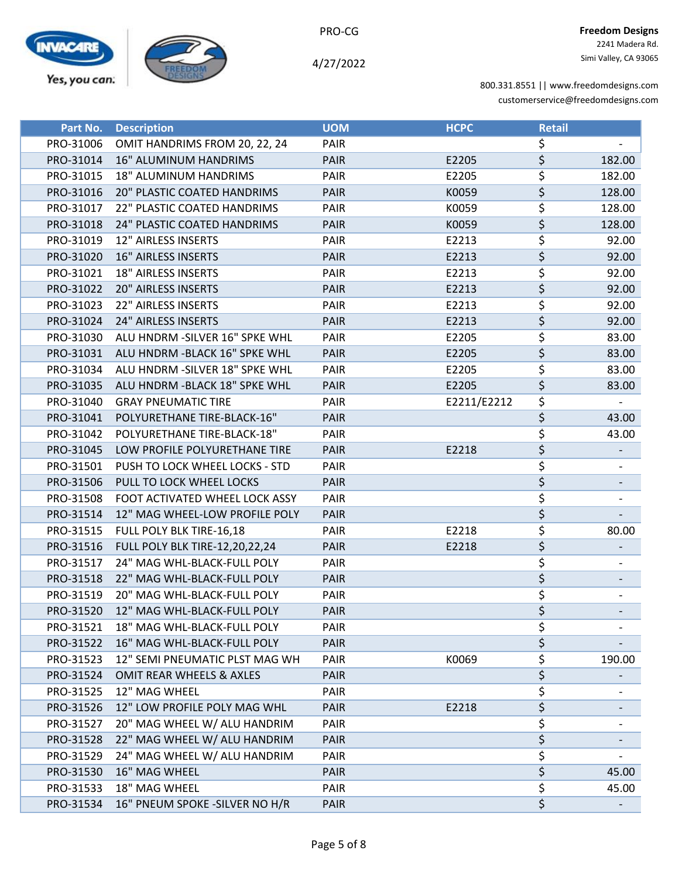

| Part No.  | <b>Description</b>                    | <b>UOM</b>  | <b>HCPC</b> | <b>Retail</b>    |        |
|-----------|---------------------------------------|-------------|-------------|------------------|--------|
| PRO-31006 | OMIT HANDRIMS FROM 20, 22, 24         | PAIR        |             | \$               |        |
| PRO-31014 | <b>16" ALUMINUM HANDRIMS</b>          | <b>PAIR</b> | E2205       | \$               | 182.00 |
| PRO-31015 | 18" ALUMINUM HANDRIMS                 | PAIR        | E2205       | \$               | 182.00 |
| PRO-31016 | <b>20" PLASTIC COATED HANDRIMS</b>    | <b>PAIR</b> | K0059       | \$               | 128.00 |
| PRO-31017 | 22" PLASTIC COATED HANDRIMS           | PAIR        | K0059       | \$               | 128.00 |
| PRO-31018 | 24" PLASTIC COATED HANDRIMS           | <b>PAIR</b> | K0059       | \$               | 128.00 |
| PRO-31019 | 12" AIRLESS INSERTS                   | PAIR        | E2213       | \$               | 92.00  |
| PRO-31020 | <b>16" AIRLESS INSERTS</b>            | PAIR        | E2213       | \$               | 92.00  |
| PRO-31021 | <b>18" AIRLESS INSERTS</b>            | PAIR        | E2213       | \$               | 92.00  |
| PRO-31022 | <b>20" AIRLESS INSERTS</b>            | <b>PAIR</b> | E2213       | \$               | 92.00  |
| PRO-31023 | 22" AIRLESS INSERTS                   | PAIR        | E2213       | \$               | 92.00  |
| PRO-31024 | 24" AIRLESS INSERTS                   | <b>PAIR</b> | E2213       | \$               | 92.00  |
| PRO-31030 | ALU HNDRM - SILVER 16" SPKE WHL       | PAIR        | E2205       | \$               | 83.00  |
| PRO-31031 | ALU HNDRM - BLACK 16" SPKE WHL        | <b>PAIR</b> | E2205       | \$               | 83.00  |
| PRO-31034 | ALU HNDRM - SILVER 18" SPKE WHL       | PAIR        | E2205       | \$               | 83.00  |
| PRO-31035 | ALU HNDRM - BLACK 18" SPKE WHL        | <b>PAIR</b> | E2205       | \$               | 83.00  |
| PRO-31040 | <b>GRAY PNEUMATIC TIRE</b>            | PAIR        | E2211/E2212 | \$               |        |
| PRO-31041 | POLYURETHANE TIRE-BLACK-16"           | <b>PAIR</b> |             | \$               | 43.00  |
| PRO-31042 | POLYURETHANE TIRE-BLACK-18"           | PAIR        |             | \$               | 43.00  |
| PRO-31045 | LOW PROFILE POLYURETHANE TIRE         | PAIR        | E2218       | \$               |        |
| PRO-31501 | PUSH TO LOCK WHEEL LOCKS - STD        | PAIR        |             | \$               |        |
| PRO-31506 | PULL TO LOCK WHEEL LOCKS              | <b>PAIR</b> |             | \$               |        |
| PRO-31508 | FOOT ACTIVATED WHEEL LOCK ASSY        | <b>PAIR</b> |             | \$               |        |
| PRO-31514 | 12" MAG WHEEL-LOW PROFILE POLY        | <b>PAIR</b> |             | \$               |        |
| PRO-31515 | FULL POLY BLK TIRE-16,18              | PAIR        | E2218       | \$               | 80.00  |
| PRO-31516 | <b>FULL POLY BLK TIRE-12,20,22,24</b> | <b>PAIR</b> | E2218       | \$               |        |
| PRO-31517 | 24" MAG WHL-BLACK-FULL POLY           | PAIR        |             | \$               |        |
| PRO-31518 | 22" MAG WHL-BLACK-FULL POLY           | <b>PAIR</b> |             | $\overline{\xi}$ |        |
| PRO-31519 | 20" MAG WHL-BLACK-FULL POLY           | PAIR        |             | \$               |        |
| PRO-31520 | 12" MAG WHL-BLACK-FULL POLY           | <b>PAIR</b> |             | \$               |        |
| PRO-31521 | 18" MAG WHL-BLACK-FULL POLY           | <b>PAIR</b> |             | \$               |        |
| PRO-31522 | 16" MAG WHL-BLACK-FULL POLY           | PAIR        |             | \$               |        |
| PRO-31523 | 12" SEMI PNEUMATIC PLST MAG WH        | PAIR        | K0069       | \$               | 190.00 |
| PRO-31524 | OMIT REAR WHEELS & AXLES              | <b>PAIR</b> |             | \$               |        |
| PRO-31525 | 12" MAG WHEEL                         | <b>PAIR</b> |             | \$               |        |
| PRO-31526 | 12" LOW PROFILE POLY MAG WHL          | <b>PAIR</b> | E2218       | \$               |        |
| PRO-31527 | 20" MAG WHEEL W/ ALU HANDRIM          | PAIR        |             | \$               |        |
| PRO-31528 | 22" MAG WHEEL W/ ALU HANDRIM          | <b>PAIR</b> |             | \$               |        |
| PRO-31529 | 24" MAG WHEEL W/ ALU HANDRIM          | PAIR        |             | \$               |        |
| PRO-31530 | 16" MAG WHEEL                         | <b>PAIR</b> |             | \$               | 45.00  |
| PRO-31533 | 18" MAG WHEEL                         | PAIR        |             | \$               | 45.00  |
| PRO-31534 | 16" PNEUM SPOKE - SILVER NO H/R       | <b>PAIR</b> |             | \$               |        |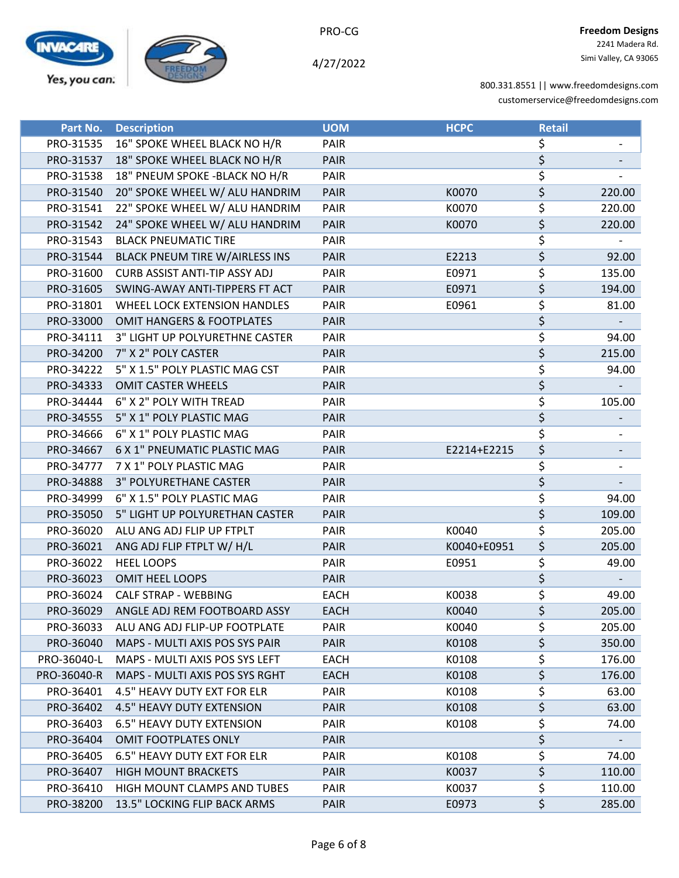

4/27/2022

| Part No.    | <b>Description</b>                    | <b>UOM</b>  | <b>HCPC</b> | <b>Retail</b> |        |
|-------------|---------------------------------------|-------------|-------------|---------------|--------|
| PRO-31535   | 16" SPOKE WHEEL BLACK NO H/R          | PAIR        |             | \$            |        |
| PRO-31537   | 18" SPOKE WHEEL BLACK NO H/R          | <b>PAIR</b> |             | \$            |        |
| PRO-31538   | 18" PNEUM SPOKE - BLACK NO H/R        | PAIR        |             | \$            |        |
| PRO-31540   | 20" SPOKE WHEEL W/ ALU HANDRIM        | <b>PAIR</b> | K0070       | \$            | 220.00 |
| PRO-31541   | 22" SPOKE WHEEL W/ ALU HANDRIM        | PAIR        | K0070       | \$            | 220.00 |
| PRO-31542   | 24" SPOKE WHEEL W/ ALU HANDRIM        | <b>PAIR</b> | K0070       | \$            | 220.00 |
| PRO-31543   | <b>BLACK PNEUMATIC TIRE</b>           | PAIR        |             | \$            |        |
| PRO-31544   | <b>BLACK PNEUM TIRE W/AIRLESS INS</b> | <b>PAIR</b> | E2213       | \$            | 92.00  |
| PRO-31600   | <b>CURB ASSIST ANTI-TIP ASSY ADJ</b>  | PAIR        | E0971       | \$            | 135.00 |
| PRO-31605   | SWING-AWAY ANTI-TIPPERS FT ACT        | <b>PAIR</b> | E0971       | \$            | 194.00 |
| PRO-31801   | WHEEL LOCK EXTENSION HANDLES          | PAIR        | E0961       | \$            | 81.00  |
| PRO-33000   | <b>OMIT HANGERS &amp; FOOTPLATES</b>  | <b>PAIR</b> |             | \$            |        |
| PRO-34111   | 3" LIGHT UP POLYURETHNE CASTER        | <b>PAIR</b> |             | \$            | 94.00  |
| PRO-34200   | 7" X 2" POLY CASTER                   | <b>PAIR</b> |             | \$            | 215.00 |
| PRO-34222   | 5" X 1.5" POLY PLASTIC MAG CST        | PAIR        |             | \$            | 94.00  |
| PRO-34333   | <b>OMIT CASTER WHEELS</b>             | <b>PAIR</b> |             | \$            |        |
| PRO-34444   | 6" X 2" POLY WITH TREAD               | PAIR        |             | \$            | 105.00 |
| PRO-34555   | 5" X 1" POLY PLASTIC MAG              | <b>PAIR</b> |             | \$            |        |
| PRO-34666   | 6" X 1" POLY PLASTIC MAG              | PAIR        |             | \$            |        |
| PRO-34667   | 6 X 1" PNEUMATIC PLASTIC MAG          | <b>PAIR</b> | E2214+E2215 | \$            |        |
| PRO-34777   | 7 X 1" POLY PLASTIC MAG               | <b>PAIR</b> |             | \$            |        |
| PRO-34888   | 3" POLYURETHANE CASTER                | <b>PAIR</b> |             | \$            |        |
| PRO-34999   | 6" X 1.5" POLY PLASTIC MAG            | PAIR        |             | \$            | 94.00  |
| PRO-35050   | 5" LIGHT UP POLYURETHAN CASTER        | <b>PAIR</b> |             | \$            | 109.00 |
| PRO-36020   | ALU ANG ADJ FLIP UP FTPLT             | PAIR        | K0040       | \$            | 205.00 |
| PRO-36021   | ANG ADJ FLIP FTPLT W/ H/L             | <b>PAIR</b> | K0040+E0951 | \$            | 205.00 |
| PRO-36022   | <b>HEEL LOOPS</b>                     | PAIR        | E0951       | \$            | 49.00  |
| PRO-36023   | <b>OMIT HEEL LOOPS</b>                | <b>PAIR</b> |             | \$            |        |
| PRO-36024   | <b>CALF STRAP - WEBBING</b>           | <b>EACH</b> | K0038       | \$            | 49.00  |
| PRO-36029   | ANGLE ADJ REM FOOTBOARD ASSY          | <b>EACH</b> | K0040       | \$            | 205.00 |
| PRO-36033   | ALU ANG ADJ FLIP-UP FOOTPLATE         | <b>PAIR</b> | K0040       | \$            | 205.00 |
| PRO-36040   | MAPS - MULTI AXIS POS SYS PAIR        | <b>PAIR</b> | K0108       | \$            | 350.00 |
| PRO-36040-L | MAPS - MULTI AXIS POS SYS LEFT        | EACH        | K0108       | \$            | 176.00 |
| PRO-36040-R | MAPS - MULTI AXIS POS SYS RGHT        | <b>EACH</b> | K0108       | \$            | 176.00 |
| PRO-36401   | 4.5" HEAVY DUTY EXT FOR ELR           | PAIR        | K0108       | \$            | 63.00  |
| PRO-36402   | <b>4.5" HEAVY DUTY EXTENSION</b>      | <b>PAIR</b> | K0108       | \$            | 63.00  |
| PRO-36403   | <b>6.5" HEAVY DUTY EXTENSION</b>      | <b>PAIR</b> | K0108       | \$            | 74.00  |
| PRO-36404   | OMIT FOOTPLATES ONLY                  | <b>PAIR</b> |             | \$            |        |
| PRO-36405   | <b>6.5" HEAVY DUTY EXT FOR ELR</b>    | <b>PAIR</b> | K0108       | \$            | 74.00  |
| PRO-36407   | <b>HIGH MOUNT BRACKETS</b>            | <b>PAIR</b> | K0037       | \$            | 110.00 |
| PRO-36410   | HIGH MOUNT CLAMPS AND TUBES           | PAIR        | K0037       | \$            | 110.00 |
| PRO-38200   | 13.5" LOCKING FLIP BACK ARMS          | <b>PAIR</b> | E0973       | \$            | 285.00 |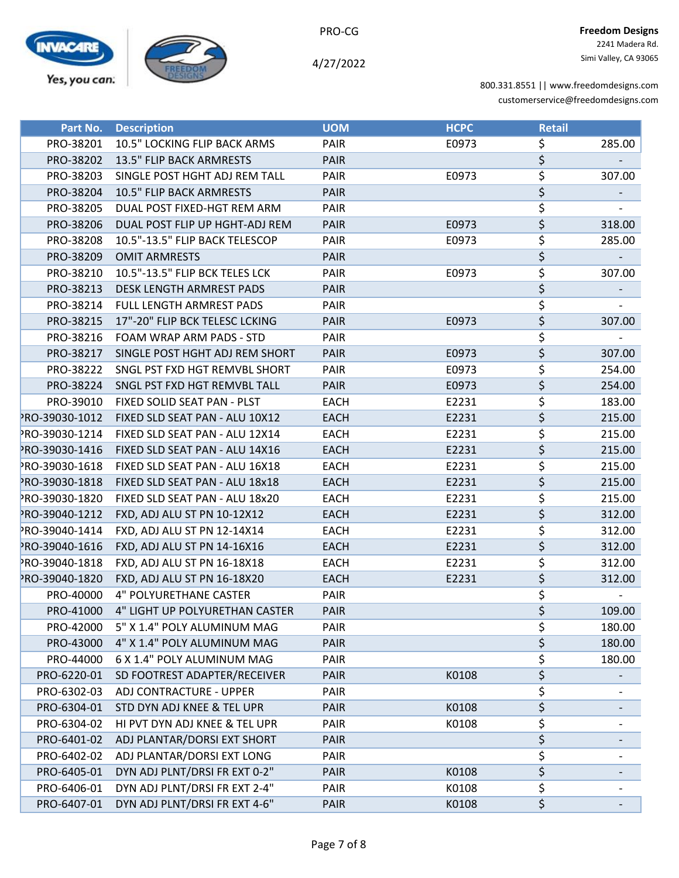

PRO-CG

| Part No.       | <b>Description</b>              | <b>UOM</b>  | <b>HCPC</b> | <b>Retail</b>                   |        |
|----------------|---------------------------------|-------------|-------------|---------------------------------|--------|
| PRO-38201      | 10.5" LOCKING FLIP BACK ARMS    | PAIR        | E0973       | \$                              | 285.00 |
| PRO-38202      | 13.5" FLIP BACK ARMRESTS        | <b>PAIR</b> |             | \$                              |        |
| PRO-38203      | SINGLE POST HGHT ADJ REM TALL   | PAIR        | E0973       | \$                              | 307.00 |
| PRO-38204      | 10.5" FLIP BACK ARMRESTS        | <b>PAIR</b> |             | $\overline{\xi}$                |        |
| PRO-38205      | DUAL POST FIXED-HGT REM ARM     | PAIR        |             | $\overline{\boldsymbol{\zeta}}$ |        |
| PRO-38206      | DUAL POST FLIP UP HGHT-ADJ REM  | <b>PAIR</b> | E0973       | \$                              | 318.00 |
| PRO-38208      | 10.5"-13.5" FLIP BACK TELESCOP  | PAIR        | E0973       | \$                              | 285.00 |
| PRO-38209      | <b>OMIT ARMRESTS</b>            | <b>PAIR</b> |             | \$                              |        |
| PRO-38210      | 10.5"-13.5" FLIP BCK TELES LCK  | PAIR        | E0973       | \$                              | 307.00 |
| PRO-38213      | <b>DESK LENGTH ARMREST PADS</b> | <b>PAIR</b> |             | \$                              |        |
| PRO-38214      | FULL LENGTH ARMREST PADS        | PAIR        |             | $\overline{\xi}$                |        |
| PRO-38215      | 17"-20" FLIP BCK TELESC LCKING  | <b>PAIR</b> | E0973       | \$                              | 307.00 |
| PRO-38216      | FOAM WRAP ARM PADS - STD        | <b>PAIR</b> |             | \$                              |        |
| PRO-38217      | SINGLE POST HGHT ADJ REM SHORT  | <b>PAIR</b> | E0973       | \$                              | 307.00 |
| PRO-38222      | SNGL PST FXD HGT REMVBL SHORT   | PAIR        | E0973       | \$                              | 254.00 |
| PRO-38224      | SNGL PST FXD HGT REMVBL TALL    | <b>PAIR</b> | E0973       | \$                              | 254.00 |
| PRO-39010      | FIXED SOLID SEAT PAN - PLST     | <b>EACH</b> | E2231       | \$                              | 183.00 |
| PRO-39030-1012 | FIXED SLD SEAT PAN - ALU 10X12  | <b>EACH</b> | E2231       | \$                              | 215.00 |
| PRO-39030-1214 | FIXED SLD SEAT PAN - ALU 12X14  | <b>EACH</b> | E2231       | \$                              | 215.00 |
| PRO-39030-1416 | FIXED SLD SEAT PAN - ALU 14X16  | <b>EACH</b> | E2231       | \$                              | 215.00 |
| PRO-39030-1618 | FIXED SLD SEAT PAN - ALU 16X18  | <b>EACH</b> | E2231       | \$                              | 215.00 |
| PRO-39030-1818 | FIXED SLD SEAT PAN - ALU 18x18  | <b>EACH</b> | E2231       | \$                              | 215.00 |
| PRO-39030-1820 | FIXED SLD SEAT PAN - ALU 18x20  | <b>EACH</b> | E2231       | \$                              | 215.00 |
| PRO-39040-1212 | FXD, ADJ ALU ST PN 10-12X12     | <b>EACH</b> | E2231       | \$                              | 312.00 |
| PRO-39040-1414 | FXD, ADJ ALU ST PN 12-14X14     | <b>EACH</b> | E2231       | \$                              | 312.00 |
| PRO-39040-1616 | FXD, ADJ ALU ST PN 14-16X16     | <b>EACH</b> | E2231       | \$                              | 312.00 |
| PRO-39040-1818 | FXD, ADJ ALU ST PN 16-18X18     | <b>EACH</b> | E2231       | \$                              | 312.00 |
| PRO-39040-1820 | FXD, ADJ ALU ST PN 16-18X20     | <b>EACH</b> | E2231       | \$                              | 312.00 |
| PRO-40000      | <b>4" POLYURETHANE CASTER</b>   | PAIR        |             | \$                              |        |
| PRO-41000      | 4" LIGHT UP POLYURETHAN CASTER  | <b>PAIR</b> |             | \$                              | 109.00 |
| PRO-42000      | 5" X 1.4" POLY ALUMINUM MAG     | PAIR        |             | \$                              | 180.00 |
| PRO-43000      | 4" X 1.4" POLY ALUMINUM MAG     | <b>PAIR</b> |             | \$                              | 180.00 |
| PRO-44000      | 6 X 1.4" POLY ALUMINUM MAG      | PAIR        |             | \$                              | 180.00 |
| PRO-6220-01    | SD FOOTREST ADAPTER/RECEIVER    | <b>PAIR</b> | K0108       | \$                              |        |
| PRO-6302-03    | ADJ CONTRACTURE - UPPER         | PAIR        |             | \$                              |        |
| PRO-6304-01    | STD DYN ADJ KNEE & TEL UPR      | <b>PAIR</b> | K0108       | \$                              |        |
| PRO-6304-02    | HI PVT DYN ADJ KNEE & TEL UPR   | PAIR        | K0108       | \$                              |        |
| PRO-6401-02    | ADJ PLANTAR/DORSI EXT SHORT     | <b>PAIR</b> |             | \$                              |        |
| PRO-6402-02    | ADJ PLANTAR/DORSI EXT LONG      | <b>PAIR</b> |             | \$                              |        |
| PRO-6405-01    | DYN ADJ PLNT/DRSI FR EXT 0-2"   | <b>PAIR</b> | K0108       | \$                              |        |
| PRO-6406-01    | DYN ADJ PLNT/DRSI FR EXT 2-4"   | PAIR        | K0108       | \$                              |        |
| PRO-6407-01    | DYN ADJ PLNT/DRSI FR EXT 4-6"   | PAIR        | K0108       | \$                              |        |